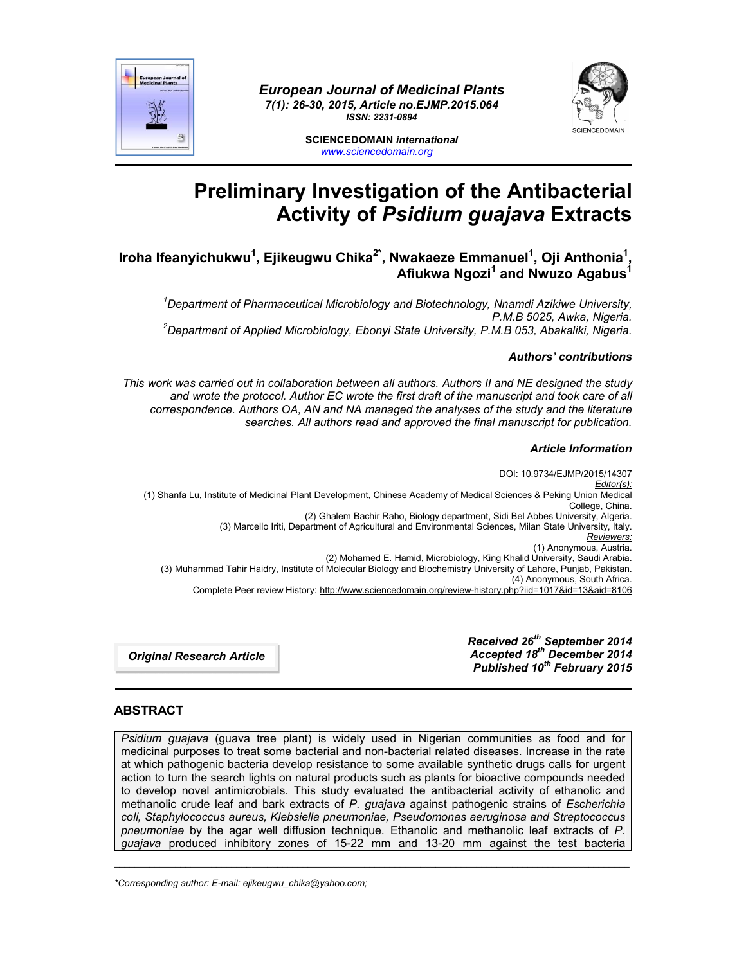

*European Journal of Medicinal Plants 7(1): 26-30, 2015, Article no.EJMP.2015.064 ISSN: 2231-0894*



**SCIENCEDOMAIN** *international www.sciencedomain.org*

# **Preliminary Investigation of the Antibacterial Activity of** *Psidium guajava* **Extracts**

**Iroha Ifeanyichukwu<sup>1</sup> , Ejikeugwu Chika2\* , Nwakaeze Emmanuel<sup>1</sup> , Oji Anthonia1 ,**  Afiukwa Ngozi<sup>1</sup> and Nwuzo Agabus<sup>1</sup>

*1 Department of Pharmaceutical Microbiology and Biotechnology, Nnamdi Azikiwe University, P.M.B 5025, Awka, Nigeria. <sup>2</sup> Department of Applied Microbiology, Ebonyi State University, P.M.B 053, Abakaliki, Nigeria.*

## *Authors' contributions*

*This work was carried out in collaboration between all authors. Authors II and NE designed the study and wrote the protocol. Author EC wrote the first draft of the manuscript and took care of all correspondence. Authors OA, AN and NA managed the analyses of the study and the literature searches. All authors read and approved the final manuscript for publication.*

## *Article Information*

DOI: 10.9734/EJMP/2015/14307 *Editor(s):* (1) Shanfa Lu, Institute of Medicinal Plant Development, Chinese Academy of Medical Sciences & Peking Union Medical College, China. (2) Ghalem Bachir Raho, Biology department, Sidi Bel Abbes University, Algeria. (3) Marcello Iriti, Department of Agricultural and Environmental Sciences, Milan State University, Italy. *Reviewers:* (1) Anonymous, Austria. (2) Mohamed E. Hamid, Microbiology, King Khalid University, Saudi Arabia. (3) Muhammad Tahir Haidry, Institute of Molecular Biology and Biochemistry University of Lahore, Punjab, Pakistan. (4) Anonymous, South Africa. Complete Peer review History: http://www.sciencedomain.org/review-history.php?iid=1017&id=13&aid=8106

*Original Research Article*

*Received 26th September 2014 Accepted 18th December 2014 Published 10th February 2015*

# **ABSTRACT**

*Psidium guajava* (guava tree plant) is widely used in Nigerian communities as food and for medicinal purposes to treat some bacterial and non-bacterial related diseases. Increase in the rate at which pathogenic bacteria develop resistance to some available synthetic drugs calls for urgent action to turn the search lights on natural products such as plants for bioactive compounds needed to develop novel antimicrobials. This study evaluated the antibacterial activity of ethanolic and methanolic crude leaf and bark extracts of *P. guajava* against pathogenic strains of *Escherichia coli, Staphylococcus aureus, Klebsiella pneumoniae, Pseudomonas aeruginosa and Streptococcus pneumoniae* by the agar well diffusion technique. Ethanolic and methanolic leaf extracts of *P. guajava* produced inhibitory zones of 15-22 mm and 13-20 mm against the test bacteria

\_\_\_\_\_\_\_\_\_\_\_\_\_\_\_\_\_\_\_\_\_\_\_\_\_\_\_\_\_\_\_\_\_\_\_\_\_\_\_\_\_\_\_\_\_\_\_\_\_\_\_\_\_\_\_\_\_\_\_\_\_\_\_\_\_\_\_\_\_\_\_\_\_\_\_\_\_\_\_\_\_\_\_\_\_\_\_\_\_\_\_\_\_\_\_\_\_\_\_\_\_

*\*Corresponding author: E-mail: ejikeugwu\_chika@yahoo.com;*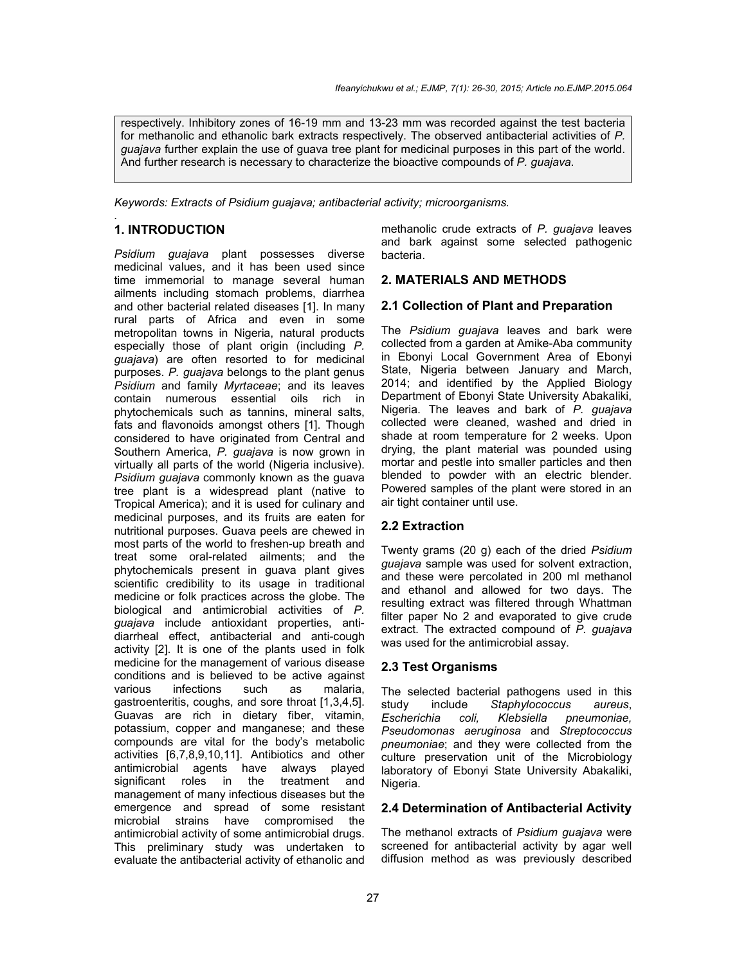respectively. Inhibitory zones of 16-19 mm and 13-23 mm was recorded against the test bacteria for methanolic and ethanolic bark extracts respectively. The observed antibacterial activities of *P. guajava* further explain the use of guava tree plant for medicinal purposes in this part of the world. And further research is necessary to characterize the bioactive compounds of *P. guajava*.

*Keywords: Extracts of Psidium guajava; antibacterial activity; microorganisms.*

#### *.* **1. INTRODUCTION**

*Psidium guajava* plant possesses diverse medicinal values, and it has been used since time immemorial to manage several human ailments including stomach problems, diarrhea and other bacterial related diseases [1]. In many rural parts of Africa and even in some metropolitan towns in Nigeria, natural products especially those of plant origin (including *P. guajava*) are often resorted to for medicinal purposes. *P. guajava* belongs to the plant genus *Psidium* and family *Myrtaceae*; and its leaves contain numerous essential oils rich in phytochemicals such as tannins, mineral salts, fats and flavonoids amongst others [1]. Though considered to have originated from Central and Southern America, *P. guajava* is now grown in virtually all parts of the world (Nigeria inclusive). *Psidium guajava* commonly known as the guava tree plant is a widespread plant (native to Tropical America); and it is used for culinary and medicinal purposes, and its fruits are eaten for nutritional purposes. Guava peels are chewed in most parts of the world to freshen-up breath and treat some oral-related ailments; and the phytochemicals present in guava plant gives scientific credibility to its usage in traditional medicine or folk practices across the globe. The biological and antimicrobial activities of *P. guajava* include antioxidant properties, antidiarrheal effect, antibacterial and anti-cough activity [2]. It is one of the plants used in folk medicine for the management of various disease conditions and is believed to be active against<br>various infections such as malaria. infections such gastroenteritis, coughs, and sore throat [1,3,4,5]. Guavas are rich in dietary fiber, vitamin, potassium, copper and manganese; and these compounds are vital for the body's metabolic activities [6,7,8,9,10,11]. Antibiotics and other antimicrobial agents have always played significant roles in the treatment and management of many infectious diseases but the emergence and spread of some resistant microbial strains have compromised the antimicrobial activity of some antimicrobial drugs. This preliminary study was undertaken to evaluate the antibacterial activity of ethanolic and

methanolic crude extracts of *P. guajava* leaves and bark against some selected pathogenic bacteria.

## **2. MATERIALS AND METHODS**

## **2.1 Collection of Plant and Preparation**

The *Psidium guajava* leaves and bark were collected from a garden at Amike-Aba community in Ebonyi Local Government Area of Ebonyi State, Nigeria between January and March, 2014; and identified by the Applied Biology Department of Ebonyi State University Abakaliki, Nigeria. The leaves and bark of *P. guajava*  collected were cleaned, washed and dried in shade at room temperature for 2 weeks. Upon drying, the plant material was pounded using mortar and pestle into smaller particles and then blended to powder with an electric blender. Powered samples of the plant were stored in an air tight container until use.

## **2.2 Extraction**

Twenty grams (20 g) each of the dried *Psidium guajava* sample was used for solvent extraction, and these were percolated in 200 ml methanol and ethanol and allowed for two days. The resulting extract was filtered through Whattman filter paper No 2 and evaporated to give crude extract. The extracted compound of *P. guajava* was used for the antimicrobial assay.

#### **2.3 Test Organisms**

The selected bacterial pathogens used in this study include *Staphylococcus aureus*, *Escherichia coli, Klebsiella pneumoniae, Pseudomonas aeruginosa* and *Streptococcus pneumoniae*; and they were collected from the culture preservation unit of the Microbiology laboratory of Ebonyi State University Abakaliki, Nigeria.

## **2.4 Determination of Antibacterial Activity**

The methanol extracts of *Psidium guajava* were screened for antibacterial activity by agar well diffusion method as was previously described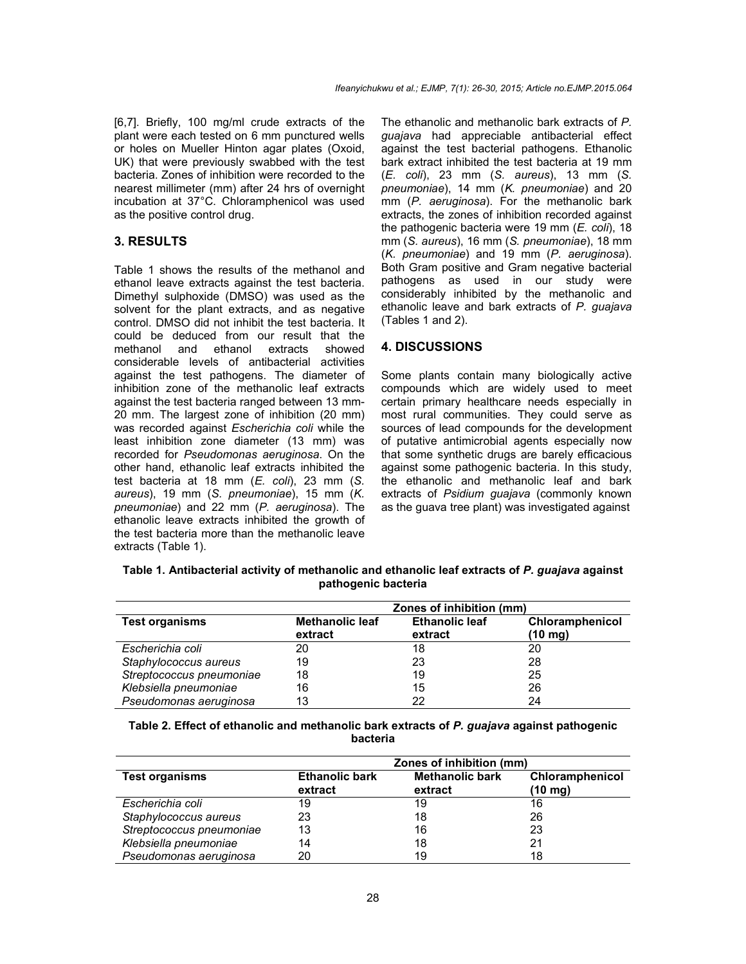[6,7]. Briefly, 100 mg/ml crude extracts of the plant were each tested on 6 mm punctured wells or holes on Mueller Hinton agar plates (Oxoid, UK) that were previously swabbed with the test bacteria. Zones of inhibition were recorded to the nearest millimeter (mm) after 24 hrs of overnight incubation at 37°C. Chloramphenicol was used as the positive control drug.

## **3. RESULTS**

Table 1 shows the results of the methanol and ethanol leave extracts against the test bacteria. Dimethyl sulphoxide (DMSO) was used as the solvent for the plant extracts, and as negative control. DMSO did not inhibit the test bacteria. It could be deduced from our result that the methanol and ethanol extracts showed considerable levels of antibacterial activities against the test pathogens. The diameter of inhibition zone of the methanolic leaf extracts against the test bacteria ranged between 13 mm-20 mm. The largest zone of inhibition (20 mm) was recorded against *Escherichia coli* while the least inhibition zone diameter (13 mm) was recorded for *Pseudomonas aeruginosa*. On the other hand, ethanolic leaf extracts inhibited the test bacteria at 18 mm (*E. coli*), 23 mm (*S. aureus*), 19 mm (*S. pneumoniae*), 15 mm (*K. pneumoniae*) and 22 mm (*P. aeruginosa*). The ethanolic leave extracts inhibited the growth of the test bacteria more than the methanolic leave extracts (Table 1).

The ethanolic and methanolic bark extracts of *P. guajava* had appreciable antibacterial effect against the test bacterial pathogens. Ethanolic bark extract inhibited the test bacteria at 19 mm (*E. coli*), 23 mm (*S. aureus*), 13 mm (*S. pneumoniae*), 14 mm (*K. pneumoniae*) and 20 mm (*P. aeruginosa*). For the methanolic bark extracts, the zones of inhibition recorded against the pathogenic bacteria were 19 mm (*E. coli*), 18 mm (*S. aureus*), 16 mm (*S. pneumoniae*), 18 mm (*K. pneumoniae*) and 19 mm (*P. aeruginosa*). Both Gram positive and Gram negative bacterial pathogens as used in our study were considerably inhibited by the methanolic and ethanolic leave and bark extracts of *P. guajava* (Tables 1 and 2).

## **4. DISCUSSIONS**

Some plants contain many biologically active compounds which are widely used to meet certain primary healthcare needs especially in most rural communities. They could serve as sources of lead compounds for the development of putative antimicrobial agents especially now that some synthetic drugs are barely efficacious against some pathogenic bacteria. In this study, the ethanolic and methanolic leaf and bark extracts of *Psidium guajava* (commonly known as the guava tree plant) was investigated against

| Table 1. Antibacterial activity of methanolic and ethanolic leaf extracts of P. guajava against |
|-------------------------------------------------------------------------------------------------|
| pathogenic bacteria                                                                             |

|                          | Zones of inhibition (mm)          |                                  |                                      |
|--------------------------|-----------------------------------|----------------------------------|--------------------------------------|
| <b>Test organisms</b>    | <b>Methanolic leaf</b><br>extract | <b>Ethanolic leaf</b><br>extract | Chloramphenicol<br>$(10 \text{ mg})$ |
| Escherichia coli         | 20                                | 18                               | 20                                   |
| Staphylococcus aureus    | 19                                | 23                               | 28                                   |
| Streptococcus pneumoniae | 18                                | 19                               | 25                                   |
| Klebsiella pneumoniae    | 16                                | 15                               | 26                                   |
| Pseudomonas aeruginosa   | 13                                | 22                               | 24                                   |

| Table 2. Effect of ethanolic and methanolic bark extracts of P. guajava against pathogenic |
|--------------------------------------------------------------------------------------------|
| bacteria                                                                                   |

|                          | Zones of inhibition (mm)         |                                   |                            |
|--------------------------|----------------------------------|-----------------------------------|----------------------------|
| <b>Test organisms</b>    | <b>Ethanolic bark</b><br>extract | <b>Methanolic bark</b><br>extract | Chloramphenicol<br>(10 mg) |
| Escherichia coli         | 19                               | 19                                | 16                         |
| Staphylococcus aureus    | 23                               | 18                                | 26                         |
| Streptococcus pneumoniae | 13                               | 16                                | 23                         |
| Klebsiella pneumoniae    | 14                               | 18                                | 21                         |
| Pseudomonas aeruginosa   | 20                               | 19                                | 18                         |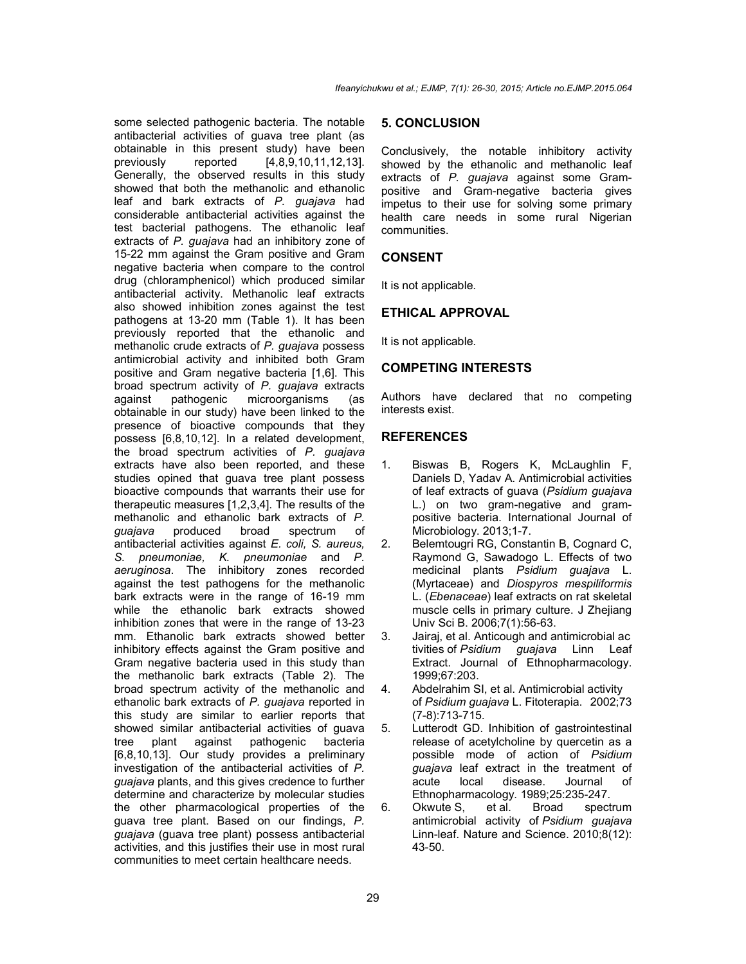some selected pathogenic bacteria. The notable antibacterial activities of guava tree plant (as obtainable in this present study) have been previously reported [4,8,9,10,11,12,13]. Generally, the observed results in this study showed that both the methanolic and ethanolic leaf and bark extracts of *P. guajava* had considerable antibacterial activities against the test bacterial pathogens. The ethanolic leaf extracts of *P. guajava* had an inhibitory zone of 15-22 mm against the Gram positive and Gram negative bacteria when compare to the control drug (chloramphenicol) which produced similar antibacterial activity. Methanolic leaf extracts also showed inhibition zones against the test pathogens at 13-20 mm (Table 1). It has been previously reported that the ethanolic and methanolic crude extracts of *P. guajava* possess antimicrobial activity and inhibited both Gram positive and Gram negative bacteria [1,6]. This broad spectrum activity of *P. guajava* extracts against pathogenic microorganisms (as obtainable in our study) have been linked to the presence of bioactive compounds that they possess [6,8,10,12]. In a related development, the broad spectrum activities of *P. guajava*  extracts have also been reported, and these studies opined that guava tree plant possess bioactive compounds that warrants their use for therapeutic measures [1,2,3,4]. The results of the methanolic and ethanolic bark extracts of *P. guajava* produced broad spectrum of antibacterial activities against *E. coli, S. aureus, S. pneumoniae, K. pneumoniae* and *P. aeruginosa*. The inhibitory zones recorded against the test pathogens for the methanolic bark extracts were in the range of 16-19 mm while the ethanolic bark extracts showed inhibition zones that were in the range of 13-23 mm. Ethanolic bark extracts showed better inhibitory effects against the Gram positive and Gram negative bacteria used in this study than the methanolic bark extracts (Table 2). The broad spectrum activity of the methanolic and ethanolic bark extracts of *P. guajava* reported in this study are similar to earlier reports that showed similar antibacterial activities of guava tree plant against pathogenic bacteria [6,8,10,13]. Our study provides a preliminary investigation of the antibacterial activities of *P. guajava* plants, and this gives credence to further determine and characterize by molecular studies the other pharmacological properties of the guava tree plant. Based on our findings, *P. guajava* (guava tree plant) possess antibacterial activities, and this justifies their use in most rural communities to meet certain healthcare needs.

#### **5. CONCLUSION**

Conclusively, the notable inhibitory activity showed by the ethanolic and methanolic leaf extracts of *P. guajava* against some Grampositive and Gram-negative bacteria gives impetus to their use for solving some primary health care needs in some rural Nigerian communities.

#### **CONSENT**

It is not applicable.

#### **ETHICAL APPROVAL**

It is not applicable.

# **COMPETING INTERESTS**

Authors have declared that no competing interests exist.

#### **REFERENCES**

- 1. Biswas B, Rogers K, McLaughlin F, Daniels D, Yadav A. Antimicrobial activities of leaf extracts of guava (*Psidium guajava* L.) on two gram-negative and grampositive bacteria. International Journal of Microbiology. 2013;1-7.
- 2. Belemtougri RG, Constantin B, Cognard C, Raymond G, Sawadogo L. Effects of two medicinal plants *Psidium guajava* L. (Myrtaceae) and *Diospyros mespiliformis* L. (*Ebenaceae*) leaf extracts on rat skeletal muscle cells in primary culture. J Zhejiang Univ Sci B. 2006;7(1):56-63.
- 3. Jairaj, et al. Anticough and antimicrobial ac tivities of *Psidium guajava* Linn Leaf Extract. Journal of Ethnopharmacology. 1999;67:203.
- 4. Abdelrahim SI, et al. Antimicrobial activity of *Psidium guajava* L. Fitoterapia. 2002;73 (7-8):713-715.
- 5. Lutterodt GD. Inhibition of gastrointestinal release of acetylcholine by quercetin as a possible mode of action of *Psidium guajava* leaf extract in the treatment of acute local disease. Journal of Ethnopharmacology*.* 1989;25:235-247.
- 6. Okwute S, et al. Broad spectrum antimicrobial activity of *Psidium guajava* Linn-leaf. Nature and Science. 2010;8(12): 43-50.